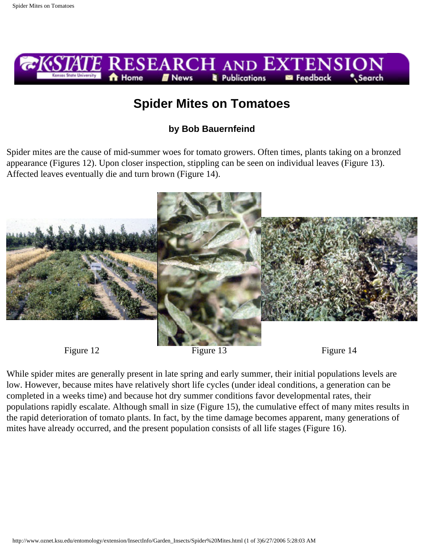

## **Spider Mites on Tomatoes**

## **by Bob Bauernfeind**

Spider mites are the cause of mid-summer woes for tomato growers. Often times, plants taking on a bronzed appearance (Figures 12). Upon closer inspection, stippling can be seen on individual leaves (Figure 13). Affected leaves eventually die and turn brown (Figure 14).





While spider mites are generally present in late spring and early summer, their initial populations levels are low. However, because mites have relatively short life cycles (under ideal conditions, a generation can be completed in a weeks time) and because hot dry summer conditions favor developmental rates, their populations rapidly escalate. Although small in size (Figure 15), the cumulative effect of many mites results in the rapid deterioration of tomato plants. In fact, by the time damage becomes apparent, many generations of mites have already occurred, and the present population consists of all life stages (Figure 16).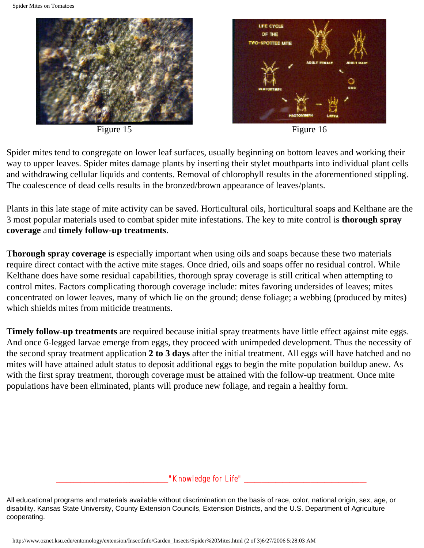

Figure 15 Figure 16



Spider mites tend to congregate on lower leaf surfaces, usually beginning on bottom leaves and working their way to upper leaves. Spider mites damage plants by inserting their stylet mouthparts into individual plant cells and withdrawing cellular liquids and contents. Removal of chlorophyll results in the aforementioned stippling. The coalescence of dead cells results in the bronzed/brown appearance of leaves/plants.

Plants in this late stage of mite activity can be saved. Horticultural oils, horticultural soaps and Kelthane are the 3 most popular materials used to combat spider mite infestations. The key to mite control is **thorough spray coverage** and **timely follow-up treatments**.

**Thorough spray coverage** is especially important when using oils and soaps because these two materials require direct contact with the active mite stages. Once dried, oils and soaps offer no residual control. While Kelthane does have some residual capabilities, thorough spray coverage is still critical when attempting to control mites. Factors complicating thorough coverage include: mites favoring undersides of leaves; mites concentrated on lower leaves, many of which lie on the ground; dense foliage; a webbing (produced by mites) which shields mites from miticide treatments.

**Timely follow-up treatments** are required because initial spray treatments have little effect against mite eggs. And once 6-legged larvae emerge from eggs, they proceed with unimpeded development. Thus the necessity of the second spray treatment application **2 to 3 days** after the initial treatment. All eggs will have hatched and no mites will have attained adult status to deposit additional eggs to begin the mite population buildup anew. As with the first spray treatment, thorough coverage must be attained with the follow-up treatment. Once mite populations have been eliminated, plants will produce new foliage, and regain a healthy form.

*\_\_\_\_\_\_\_\_\_\_\_\_\_\_\_\_\_\_\_\_\_\_\_\_\_\_\_\_\_\_\_\_"Knowledge for Life" \_\_\_\_\_\_\_\_\_\_\_\_\_\_\_\_\_\_\_\_\_\_\_\_\_\_\_\_\_\_\_\_\_\_\_*

All educational programs and materials available without discrimination on the basis of race, color, national origin, sex, age, or disability. Kansas State University, County Extension Councils, Extension Districts, and the U.S. Department of Agriculture cooperating.